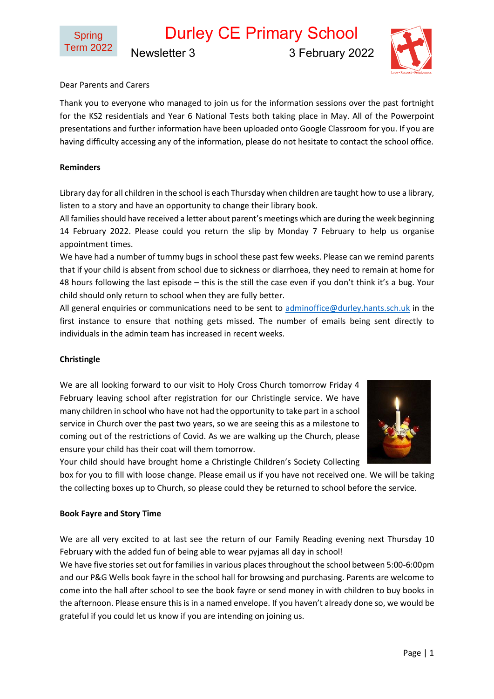Durley CE Primary School Newsletter 3 3 February 2022



# Dear Parents and Carers

Thank you to everyone who managed to join us for the information sessions over the past fortnight for the KS2 residentials and Year 6 National Tests both taking place in May. All of the Powerpoint presentations and further information have been uploaded onto Google Classroom for you. If you are having difficulty accessing any of the information, please do not hesitate to contact the school office.

## **Reminders**

Library day for all children in the school is each Thursday when children are taught how to use a library, listen to a story and have an opportunity to change their library book.

All familiesshould have received a letter about parent's meetings which are during the week beginning 14 February 2022. Please could you return the slip by Monday 7 February to help us organise appointment times.

We have had a number of tummy bugs in school these past few weeks. Please can we remind parents that if your child is absent from school due to sickness or diarrhoea, they need to remain at home for 48 hours following the last episode – this is the still the case even if you don't think it's a bug. Your child should only return to school when they are fully better.

All general enquiries or communications need to be sent to [adminoffice@durley.hants.sch.uk](mailto:adminoffice@durley.hants.sch.uk) in the first instance to ensure that nothing gets missed. The number of emails being sent directly to individuals in the admin team has increased in recent weeks.

### **Christingle**

We are all looking forward to our visit to Holy Cross Church tomorrow Friday 4 February leaving school after registration for our Christingle service. We have many children in school who have not had the opportunity to take part in a school service in Church over the past two years, so we are seeing this as a milestone to coming out of the restrictions of Covid. As we are walking up the Church, please ensure your child has their coat will them tomorrow.



Your child should have brought home a Christingle Children's Society Collecting

box for you to fill with loose change. Please email us if you have not received one. We will be taking the collecting boxes up to Church, so please could they be returned to school before the service.

### **Book Fayre and Story Time**

We are all very excited to at last see the return of our Family Reading evening next Thursday 10 February with the added fun of being able to wear pyjamas all day in school!

We have five stories set out for families in various places throughout the school between 5:00-6:00pm and our P&G Wells book fayre in the school hall for browsing and purchasing. Parents are welcome to come into the hall after school to see the book fayre or send money in with children to buy books in the afternoon. Please ensure this is in a named envelope. If you haven't already done so, we would be grateful if you could let us know if you are intending on joining us.